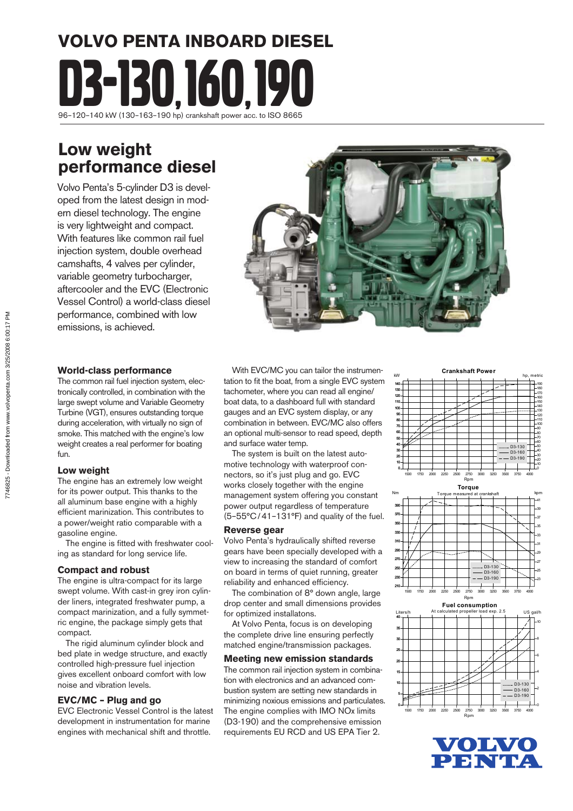# **VOLVO PENTA INBOARD DIESEL** VOLVO PENTA INBOARD DIES 96–120–140 kW (130–163–190 hp) crankshaft power acc. to ISO 8665

### **Low weight performance diesel**

Volvo Penta's 5-cylinder D3 is developed from the latest design in modern diesel technology. The engine is very lightweight and compact. With features like common rail fuel injection system, double overhead camshafts, 4 valves per cylinder, variable geometry turbocharger, aftercooler and the EVC (Electronic Vessel Control) a world-class diesel performance, combined with low emissions, is achieved.



#### **World-class performance**

The common rail fuel injection system, electronically controlled, in combination with the large swept volume and Variable Geometry Turbine (VGT), ensures outstanding torque during acceleration, with virtually no sign of smoke. This matched with the engine's low weight creates a real performer for boating fun.

#### **Low weight**

The engine has an extremely low weight for its power output. This thanks to the all aluminum base engine with a highly efficient marinization. This contributes to a power/weight ratio comparable with a gasoline engine.

The engine is fitted with freshwater cooling as standard for long service life.

#### **Compact and robust**

The engine is ultra-compact for its large swept volume. With cast-in grey iron cylinder liners, integrated freshwater pump, a compact marinization, and a fully symmetric engine, the package simply gets that compact.

 The rigid aluminum cylinder block and bed plate in wedge structure, and exactly controlled high-pressure fuel injection gives excellent onboard comfort with low noise and vibration levels.

#### **EVC/MC – Plug and go**

EVC Electronic Vessel Control is the latest development in instrumentation for marine engines with mechanical shift and throttle.

 With EVC/MC you can tailor the instrumentation to fit the boat, from a single EVC system tachometer, where you can read all engine/ boat data, to a dashboard full with standard gauges and an EVC system display, or any combination in between. EVC/MC also offers an optional multi-sensor to read speed, depth and surface water temp.

 The system is built on the latest automotive technology with waterproof connectors, so it's just plug and go. EVC works closely together with the engine management system offering you constant power output regardless of temperature (5–55°C / 41–131°F) and quality of the fuel.

#### **Reverse gear**

Volvo Penta's hydraulically shifted reverse gears have been specially developed with a view to increasing the standard of comfort on board in terms of quiet running, greater reliability and enhanced efficiency.

 The combination of 8° down angle, large drop center and small dimensions provides for optimized installatons.

At Volvo Penta, focus is on developing the complete drive line ensuring perfectly matched engine/transmission packages.

#### **Meeting new emission standards**

The common rail injection system in combination with electronics and an advanced combustion system are setting new standards in minimizing noxious emissions and particulates. The engine complies with IMO NOx limits (D3-190) and the comprehensive emission requirements EU RCD and US EPA Tier 2.